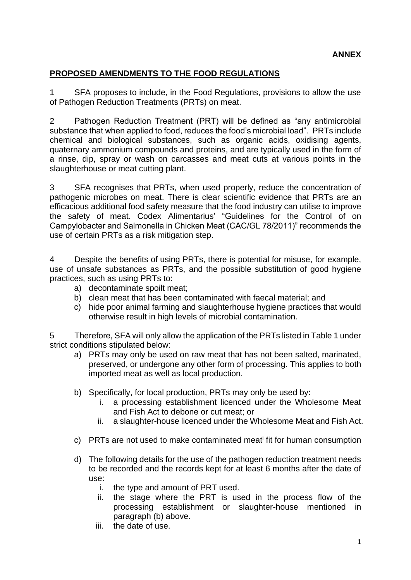## **PROPOSED AMENDMENTS TO THE FOOD REGULATIONS**

1 SFA proposes to include, in the Food Regulations, provisions to allow the use of Pathogen Reduction Treatments (PRTs) on meat.

2 Pathogen Reduction Treatment (PRT) will be defined as "any antimicrobial substance that when applied to food, reduces the food's microbial load". PRTs include chemical and biological substances, such as organic acids, oxidising agents, quaternary ammonium compounds and proteins, and are typically used in the form of a rinse, dip, spray or wash on carcasses and meat cuts at various points in the slaughterhouse or meat cutting plant.

3 SFA recognises that PRTs, when used properly, reduce the concentration of pathogenic microbes on meat. There is clear scientific evidence that PRTs are an efficacious additional food safety measure that the food industry can utilise to improve the safety of meat. Codex Alimentarius' "Guidelines for the Control of on Campylobacter and Salmonella in Chicken Meat (CAC/GL 78/2011)" recommends the use of certain PRTs as a risk mitigation step.

4 Despite the benefits of using PRTs, there is potential for misuse, for example, use of unsafe substances as PRTs, and the possible substitution of good hygiene practices, such as using PRTs to:

- a) decontaminate spoilt meat;
- b) clean meat that has been contaminated with faecal material; and
- c) hide poor animal farming and slaughterhouse hygiene practices that would otherwise result in high levels of microbial contamination.

5 Therefore, SFA will only allow the application of the PRTs listed in Table 1 under strict conditions stipulated below:

- a) PRTs may only be used on raw meat that has not been salted, marinated, preserved, or undergone any other form of processing. This applies to both imported meat as well as local production.
- b) Specifically, for local production, PRTs may only be used by:
	- i. a processing establishment licenced under the Wholesome Meat and Fish Act to debone or cut meat; or
	- ii. a slaughter-house licenced under the Wholesome Meat and Fish Act.
- c) PRTs are not used to make contaminated meat<sup>i</sup> fit for human consumption
- d) The following details for the use of the pathogen reduction treatment needs to be recorded and the records kept for at least 6 months after the date of use:
	- i. the type and amount of PRT used.
	- ii. the stage where the PRT is used in the process flow of the processing establishment or slaughter-house mentioned in paragraph (b) above.
	- iii. the date of use.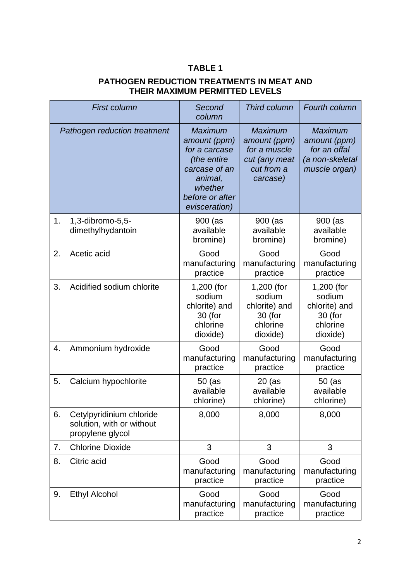## **TABLE 1**

## **PATHOGEN REDUCTION TREATMENTS IN MEAT AND THEIR MAXIMUM PERMITTED LEVELS**

| <b>First column</b> |                                                                           | Second<br>column                                                                                                                          | <b>Third column</b>                                                                       | Fourth column                                                                      |
|---------------------|---------------------------------------------------------------------------|-------------------------------------------------------------------------------------------------------------------------------------------|-------------------------------------------------------------------------------------------|------------------------------------------------------------------------------------|
|                     | Pathogen reduction treatment                                              | <b>Maximum</b><br>amount (ppm)<br>for a carcase<br>(the entire<br>carcase of an<br>animal,<br>whether<br>before or after<br>evisceration) | <b>Maximum</b><br>amount (ppm)<br>for a muscle<br>cut (any meat<br>cut from a<br>carcase) | <b>Maximum</b><br>amount (ppm)<br>for an offal<br>(a non-skeletal<br>muscle organ) |
| 1.                  | 1,3-dibromo-5,5-<br>dimethylhydantoin                                     | 900 (as<br>available<br>bromine)                                                                                                          | 900 (as<br>available<br>bromine)                                                          | 900 (as<br>available<br>bromine)                                                   |
| 2.                  | Acetic acid                                                               | Good<br>manufacturing<br>practice                                                                                                         | Good<br>manufacturing<br>practice                                                         | Good<br>manufacturing<br>practice                                                  |
| 3.                  | Acidified sodium chlorite                                                 | 1,200 (for<br>sodium<br>chlorite) and<br>30 (for<br>chlorine<br>dioxide)                                                                  | 1,200 (for<br>sodium<br>chlorite) and<br>30 (for<br>chlorine<br>dioxide)                  | 1,200 (for<br>sodium<br>chlorite) and<br>30 (for<br>chlorine<br>dioxide)           |
| 4.                  | Ammonium hydroxide                                                        | Good<br>manufacturing<br>practice                                                                                                         | Good<br>manufacturing<br>practice                                                         | Good<br>manufacturing<br>practice                                                  |
| 5.                  | Calcium hypochlorite                                                      | $50$ (as<br>available<br>chlorine)                                                                                                        | $20$ (as<br>available<br>chlorine)                                                        | $50$ (as<br>available<br>chlorine)                                                 |
| 6.                  | Cetylpyridinium chloride<br>solution, with or without<br>propylene glycol | 8,000                                                                                                                                     | 8,000                                                                                     | 8,000                                                                              |
| 7.                  | <b>Chlorine Dioxide</b>                                                   | 3                                                                                                                                         | 3                                                                                         | 3                                                                                  |
| 8.                  | Citric acid                                                               | Good<br>manufacturing<br>practice                                                                                                         | Good<br>manufacturing<br>practice                                                         | Good<br>manufacturing<br>practice                                                  |
| 9.                  | <b>Ethyl Alcohol</b>                                                      | Good<br>manufacturing<br>practice                                                                                                         | Good<br>manufacturing<br>practice                                                         | Good<br>manufacturing<br>practice                                                  |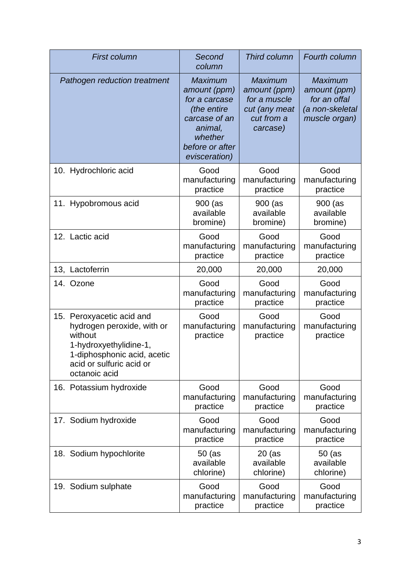| <b>First column</b>                                                                                                                                                      | Second<br>column                                                                                                                          | Third column                                                                              | Fourth column                                                                      |
|--------------------------------------------------------------------------------------------------------------------------------------------------------------------------|-------------------------------------------------------------------------------------------------------------------------------------------|-------------------------------------------------------------------------------------------|------------------------------------------------------------------------------------|
| Pathogen reduction treatment                                                                                                                                             | <b>Maximum</b><br>amount (ppm)<br>for a carcase<br>(the entire<br>carcase of an<br>animal,<br>whether<br>before or after<br>evisceration) | <b>Maximum</b><br>amount (ppm)<br>for a muscle<br>cut (any meat<br>cut from a<br>carcase) | <b>Maximum</b><br>amount (ppm)<br>for an offal<br>(a non-skeletal<br>muscle organ) |
| 10. Hydrochloric acid                                                                                                                                                    | Good                                                                                                                                      | Good                                                                                      | Good                                                                               |
|                                                                                                                                                                          | manufacturing                                                                                                                             | manufacturing                                                                             | manufacturing                                                                      |
|                                                                                                                                                                          | practice                                                                                                                                  | practice                                                                                  | practice                                                                           |
| Hypobromous acid<br>11.                                                                                                                                                  | 900 (as<br>available<br>bromine)                                                                                                          | 900 (as<br>available<br>bromine)                                                          | 900 (as<br>available<br>bromine)                                                   |
| 12. Lactic acid                                                                                                                                                          | Good                                                                                                                                      | Good                                                                                      | Good                                                                               |
|                                                                                                                                                                          | manufacturing                                                                                                                             | manufacturing                                                                             | manufacturing                                                                      |
|                                                                                                                                                                          | practice                                                                                                                                  | practice                                                                                  | practice                                                                           |
| 13, Lactoferrin                                                                                                                                                          | 20,000                                                                                                                                    | 20,000                                                                                    | 20,000                                                                             |
| 14. Ozone                                                                                                                                                                | Good                                                                                                                                      | Good                                                                                      | Good                                                                               |
|                                                                                                                                                                          | manufacturing                                                                                                                             | manufacturing                                                                             | manufacturing                                                                      |
|                                                                                                                                                                          | practice                                                                                                                                  | practice                                                                                  | practice                                                                           |
| 15. Peroxyacetic acid and<br>hydrogen peroxide, with or<br>without<br>1-hydroxyethylidine-1,<br>1-diphosphonic acid, acetic<br>acid or sulfuric acid or<br>octanoic acid | Good<br>manufacturing<br>practice                                                                                                         | Good<br>manufacturing<br>practice                                                         | Good<br>manufacturing<br>practice                                                  |
| 16. Potassium hydroxide                                                                                                                                                  | Good                                                                                                                                      | Good                                                                                      | Good                                                                               |
|                                                                                                                                                                          | manufacturing                                                                                                                             | manufacturing                                                                             | manufacturing                                                                      |
|                                                                                                                                                                          | practice                                                                                                                                  | practice                                                                                  | practice                                                                           |
| 17. Sodium hydroxide                                                                                                                                                     | Good                                                                                                                                      | Good                                                                                      | Good                                                                               |
|                                                                                                                                                                          | manufacturing                                                                                                                             | manufacturing                                                                             | manufacturing                                                                      |
|                                                                                                                                                                          | practice                                                                                                                                  | practice                                                                                  | practice                                                                           |
| 18. Sodium hypochlorite                                                                                                                                                  | $50$ (as                                                                                                                                  | $20$ (as                                                                                  | 50 (as                                                                             |
|                                                                                                                                                                          | available                                                                                                                                 | available                                                                                 | available                                                                          |
|                                                                                                                                                                          | chlorine)                                                                                                                                 | chlorine)                                                                                 | chlorine)                                                                          |
| 19. Sodium sulphate                                                                                                                                                      | Good                                                                                                                                      | Good                                                                                      | Good                                                                               |
|                                                                                                                                                                          | manufacturing                                                                                                                             | manufacturing                                                                             | manufacturing                                                                      |
|                                                                                                                                                                          | practice                                                                                                                                  | practice                                                                                  | practice                                                                           |